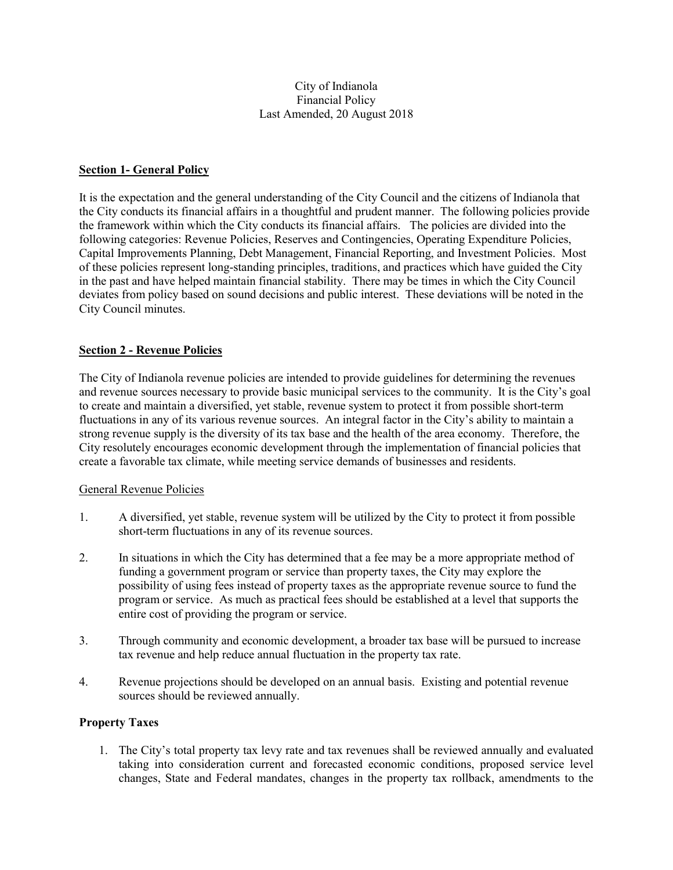#### City of Indianola Financial Policy Last Amended, 20 August 2018

#### **Section 1- General Policy**

It is the expectation and the general understanding of the City Council and the citizens of Indianola that the City conducts its financial affairs in a thoughtful and prudent manner. The following policies provide the framework within which the City conducts its financial affairs. The policies are divided into the following categories: Revenue Policies, Reserves and Contingencies, Operating Expenditure Policies, Capital Improvements Planning, Debt Management, Financial Reporting, and Investment Policies. Most of these policies represent long-standing principles, traditions, and practices which have guided the City in the past and have helped maintain financial stability. There may be times in which the City Council deviates from policy based on sound decisions and public interest. These deviations will be noted in the City Council minutes.

## **Section 2 - Revenue Policies**

The City of Indianola revenue policies are intended to provide guidelines for determining the revenues and revenue sources necessary to provide basic municipal services to the community. It is the City's goal to create and maintain a diversified, yet stable, revenue system to protect it from possible short-term fluctuations in any of its various revenue sources. An integral factor in the City's ability to maintain a strong revenue supply is the diversity of its tax base and the health of the area economy. Therefore, the City resolutely encourages economic development through the implementation of financial policies that create a favorable tax climate, while meeting service demands of businesses and residents.

#### General Revenue Policies

- 1. A diversified, yet stable, revenue system will be utilized by the City to protect it from possible short-term fluctuations in any of its revenue sources.
- 2. In situations in which the City has determined that a fee may be a more appropriate method of funding a government program or service than property taxes, the City may explore the possibility of using fees instead of property taxes as the appropriate revenue source to fund the program or service. As much as practical fees should be established at a level that supports the entire cost of providing the program or service.
- 3. Through community and economic development, a broader tax base will be pursued to increase tax revenue and help reduce annual fluctuation in the property tax rate.
- 4. Revenue projections should be developed on an annual basis. Existing and potential revenue sources should be reviewed annually.

#### **Property Taxes**

1. The City's total property tax levy rate and tax revenues shall be reviewed annually and evaluated taking into consideration current and forecasted economic conditions, proposed service level changes, State and Federal mandates, changes in the property tax rollback, amendments to the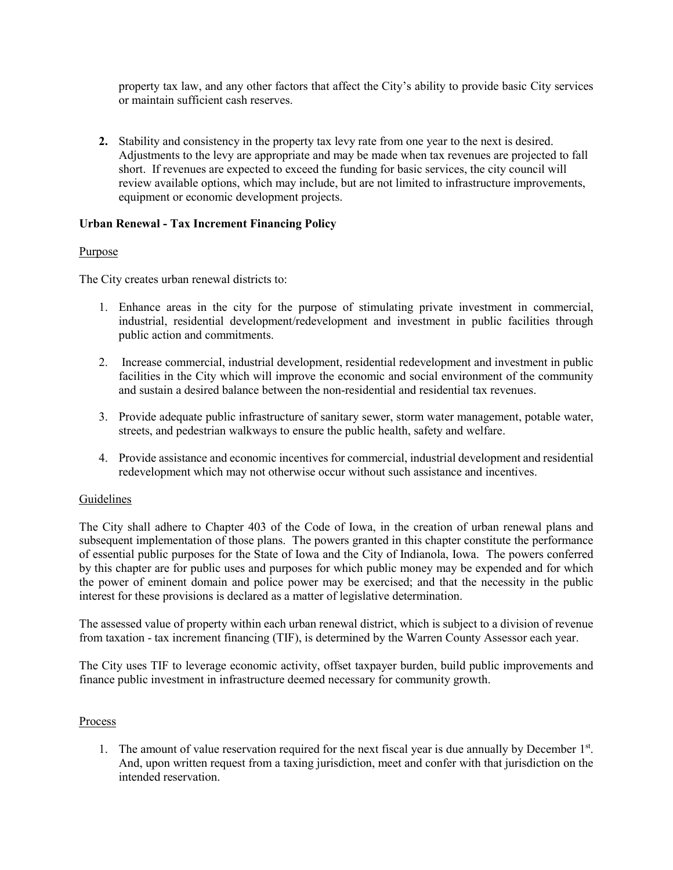property tax law, and any other factors that affect the City's ability to provide basic City services or maintain sufficient cash reserves.

**2.** Stability and consistency in the property tax levy rate from one year to the next is desired. Adjustments to the levy are appropriate and may be made when tax revenues are projected to fall short. If revenues are expected to exceed the funding for basic services, the city council will review available options, which may include, but are not limited to infrastructure improvements, equipment or economic development projects.

## **Urban Renewal - Tax Increment Financing Policy**

## Purpose

The City creates urban renewal districts to:

- 1. Enhance areas in the city for the purpose of stimulating private investment in commercial, industrial, residential development/redevelopment and investment in public facilities through public action and commitments.
- 2. Increase commercial, industrial development, residential redevelopment and investment in public facilities in the City which will improve the economic and social environment of the community and sustain a desired balance between the non-residential and residential tax revenues.
- 3. Provide adequate public infrastructure of sanitary sewer, storm water management, potable water, streets, and pedestrian walkways to ensure the public health, safety and welfare.
- 4. Provide assistance and economic incentives for commercial, industrial development and residential redevelopment which may not otherwise occur without such assistance and incentives.

# Guidelines

The City shall adhere to Chapter 403 of the Code of Iowa, in the creation of urban renewal plans and subsequent implementation of those plans. The powers granted in this chapter constitute the performance of essential public purposes for the State of Iowa and the City of Indianola, Iowa. The powers conferred by this chapter are for public uses and purposes for which public money may be expended and for which the power of eminent domain and police power may be exercised; and that the necessity in the public interest for these provisions is declared as a matter of legislative determination.

The assessed value of property within each urban renewal district, which is subject to a division of revenue from taxation - tax increment financing (TIF), is determined by the Warren County Assessor each year.

The City uses TIF to leverage economic activity, offset taxpayer burden, build public improvements and finance public investment in infrastructure deemed necessary for community growth.

#### Process

1. The amount of value reservation required for the next fiscal year is due annually by December 1<sup>st</sup>. And, upon written request from a taxing jurisdiction, meet and confer with that jurisdiction on the intended reservation.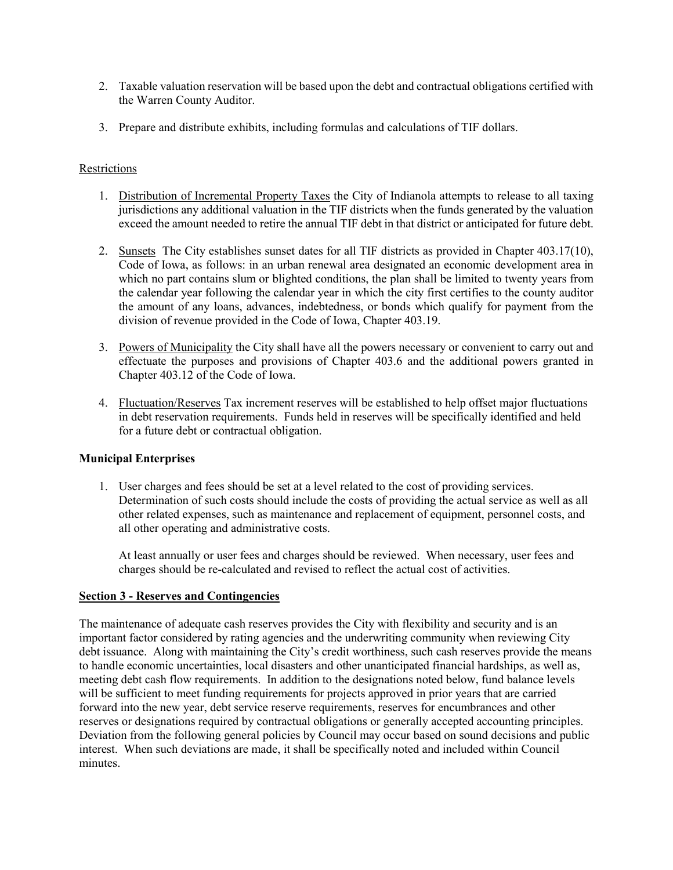- 2. Taxable valuation reservation will be based upon the debt and contractual obligations certified with the Warren County Auditor.
- 3. Prepare and distribute exhibits, including formulas and calculations of TIF dollars.

### Restrictions

- 1. Distribution of Incremental Property Taxes the City of Indianola attempts to release to all taxing jurisdictions any additional valuation in the TIF districts when the funds generated by the valuation exceed the amount needed to retire the annual TIF debt in that district or anticipated for future debt.
- 2. Sunsets The City establishes sunset dates for all TIF districts as provided in Chapter 403.17(10), Code of Iowa, as follows: in an urban renewal area designated an economic development area in which no part contains slum or blighted conditions, the plan shall be limited to twenty years from the calendar year following the calendar year in which the city first certifies to the county auditor the amount of any loans, advances, indebtedness, or bonds which qualify for payment from the division of revenue provided in the Code of Iowa, Chapter 403.19.
- 3. Powers of Municipality the City shall have all the powers necessary or convenient to carry out and effectuate the purposes and provisions of Chapter 403.6 and the additional powers granted in Chapter 403.12 of the Code of Iowa.
- 4. Fluctuation/Reserves Tax increment reserves will be established to help offset major fluctuations in debt reservation requirements. Funds held in reserves will be specifically identified and held for a future debt or contractual obligation.

#### **Municipal Enterprises**

1. User charges and fees should be set at a level related to the cost of providing services. Determination of such costs should include the costs of providing the actual service as well as all other related expenses, such as maintenance and replacement of equipment, personnel costs, and all other operating and administrative costs.

At least annually or user fees and charges should be reviewed. When necessary, user fees and charges should be re-calculated and revised to reflect the actual cost of activities.

#### **Section 3 - Reserves and Contingencies**

The maintenance of adequate cash reserves provides the City with flexibility and security and is an important factor considered by rating agencies and the underwriting community when reviewing City debt issuance. Along with maintaining the City's credit worthiness, such cash reserves provide the means to handle economic uncertainties, local disasters and other unanticipated financial hardships, as well as, meeting debt cash flow requirements. In addition to the designations noted below, fund balance levels will be sufficient to meet funding requirements for projects approved in prior years that are carried forward into the new year, debt service reserve requirements, reserves for encumbrances and other reserves or designations required by contractual obligations or generally accepted accounting principles. Deviation from the following general policies by Council may occur based on sound decisions and public interest. When such deviations are made, it shall be specifically noted and included within Council minutes.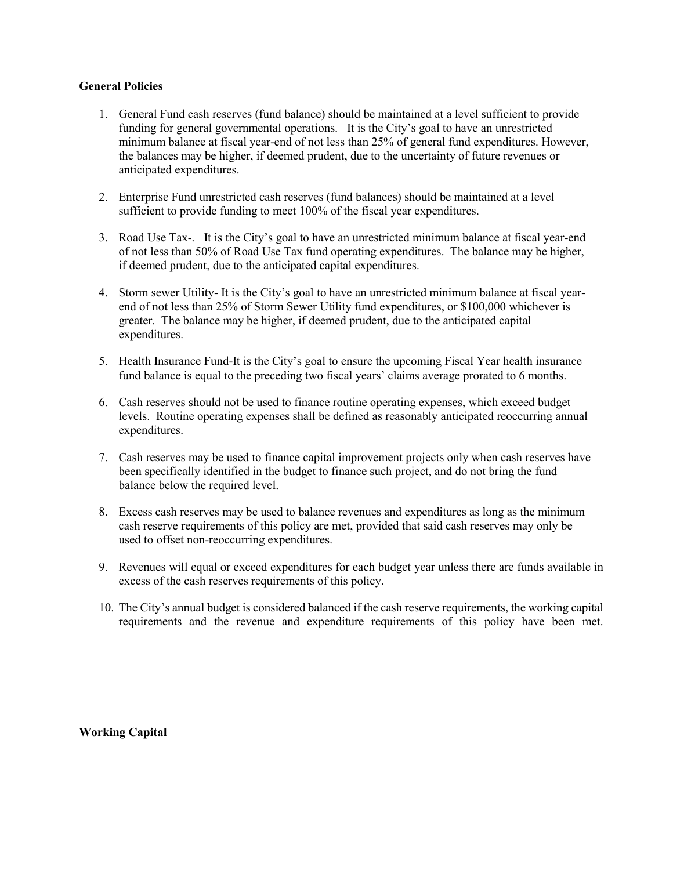#### **General Policies**

- 1. General Fund cash reserves (fund balance) should be maintained at a level sufficient to provide funding for general governmental operations. It is the City's goal to have an unrestricted minimum balance at fiscal year-end of not less than 25% of general fund expenditures. However, the balances may be higher, if deemed prudent, due to the uncertainty of future revenues or anticipated expenditures.
- 2. Enterprise Fund unrestricted cash reserves (fund balances) should be maintained at a level sufficient to provide funding to meet 100% of the fiscal year expenditures.
- 3. Road Use Tax-. It is the City's goal to have an unrestricted minimum balance at fiscal year-end of not less than 50% of Road Use Tax fund operating expenditures. The balance may be higher, if deemed prudent, due to the anticipated capital expenditures.
- 4. Storm sewer Utility- It is the City's goal to have an unrestricted minimum balance at fiscal yearend of not less than 25% of Storm Sewer Utility fund expenditures, or \$100,000 whichever is greater. The balance may be higher, if deemed prudent, due to the anticipated capital expenditures.
- 5. Health Insurance Fund-It is the City's goal to ensure the upcoming Fiscal Year health insurance fund balance is equal to the preceding two fiscal years' claims average prorated to 6 months.
- 6. Cash reserves should not be used to finance routine operating expenses, which exceed budget levels. Routine operating expenses shall be defined as reasonably anticipated reoccurring annual expenditures.
- 7. Cash reserves may be used to finance capital improvement projects only when cash reserves have been specifically identified in the budget to finance such project, and do not bring the fund balance below the required level.
- 8. Excess cash reserves may be used to balance revenues and expenditures as long as the minimum cash reserve requirements of this policy are met, provided that said cash reserves may only be used to offset non-reoccurring expenditures.
- 9. Revenues will equal or exceed expenditures for each budget year unless there are funds available in excess of the cash reserves requirements of this policy.
- 10. The City's annual budget is considered balanced if the cash reserve requirements, the working capital requirements and the revenue and expenditure requirements of this policy have been met.

**Working Capital**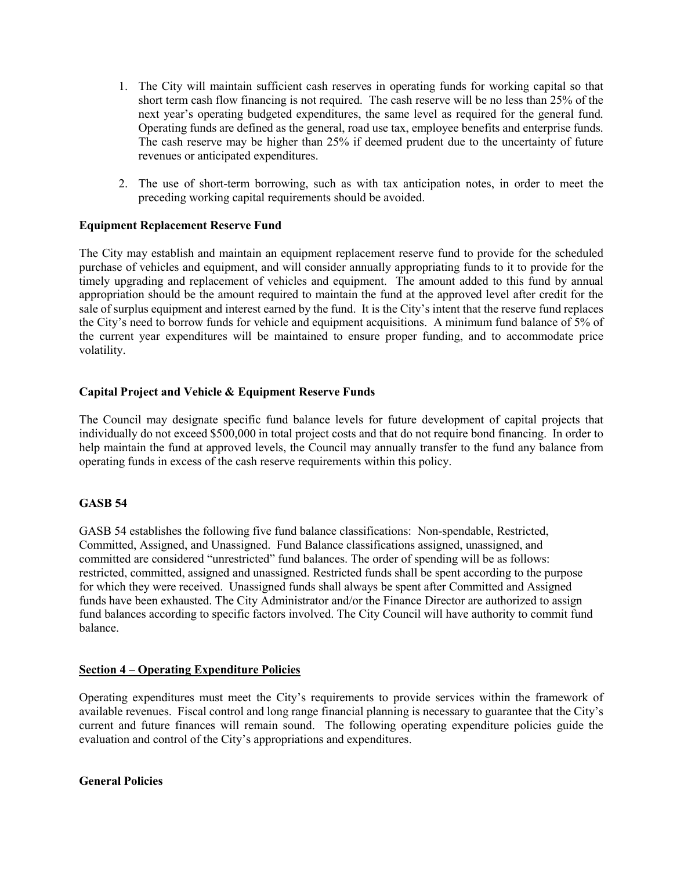- 1. The City will maintain sufficient cash reserves in operating funds for working capital so that short term cash flow financing is not required. The cash reserve will be no less than 25% of the next year's operating budgeted expenditures, the same level as required for the general fund. Operating funds are defined as the general, road use tax, employee benefits and enterprise funds. The cash reserve may be higher than 25% if deemed prudent due to the uncertainty of future revenues or anticipated expenditures.
- 2. The use of short-term borrowing, such as with tax anticipation notes, in order to meet the preceding working capital requirements should be avoided.

#### **Equipment Replacement Reserve Fund**

The City may establish and maintain an equipment replacement reserve fund to provide for the scheduled purchase of vehicles and equipment, and will consider annually appropriating funds to it to provide for the timely upgrading and replacement of vehicles and equipment. The amount added to this fund by annual appropriation should be the amount required to maintain the fund at the approved level after credit for the sale of surplus equipment and interest earned by the fund. It is the City's intent that the reserve fund replaces the City's need to borrow funds for vehicle and equipment acquisitions. A minimum fund balance of 5% of the current year expenditures will be maintained to ensure proper funding, and to accommodate price volatility.

## **Capital Project and Vehicle & Equipment Reserve Funds**

The Council may designate specific fund balance levels for future development of capital projects that individually do not exceed \$500,000 in total project costs and that do not require bond financing. In order to help maintain the fund at approved levels, the Council may annually transfer to the fund any balance from operating funds in excess of the cash reserve requirements within this policy.

#### **GASB 54**

GASB 54 establishes the following five fund balance classifications: Non-spendable, Restricted, Committed, Assigned, and Unassigned. Fund Balance classifications assigned, unassigned, and committed are considered "unrestricted" fund balances. The order of spending will be as follows: restricted, committed, assigned and unassigned. Restricted funds shall be spent according to the purpose for which they were received. Unassigned funds shall always be spent after Committed and Assigned funds have been exhausted. The City Administrator and/or the Finance Director are authorized to assign fund balances according to specific factors involved. The City Council will have authority to commit fund balance.

### **Section 4 – Operating Expenditure Policies**

Operating expenditures must meet the City's requirements to provide services within the framework of available revenues. Fiscal control and long range financial planning is necessary to guarantee that the City's current and future finances will remain sound. The following operating expenditure policies guide the evaluation and control of the City's appropriations and expenditures.

**General Policies**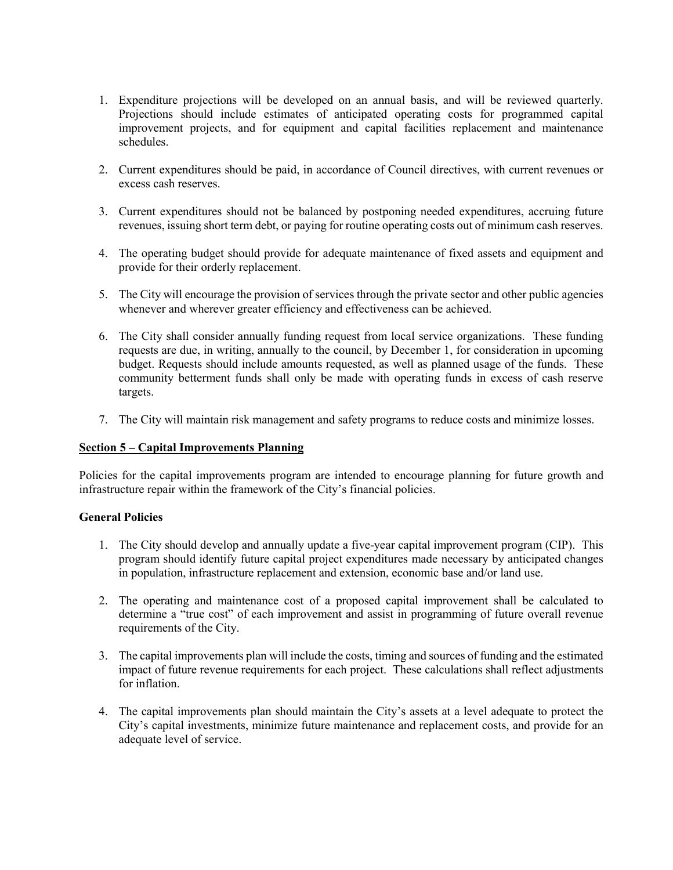- 1. Expenditure projections will be developed on an annual basis, and will be reviewed quarterly. Projections should include estimates of anticipated operating costs for programmed capital improvement projects, and for equipment and capital facilities replacement and maintenance schedules.
- 2. Current expenditures should be paid, in accordance of Council directives, with current revenues or excess cash reserves.
- 3. Current expenditures should not be balanced by postponing needed expenditures, accruing future revenues, issuing short term debt, or paying for routine operating costs out of minimum cash reserves.
- 4. The operating budget should provide for adequate maintenance of fixed assets and equipment and provide for their orderly replacement.
- 5. The City will encourage the provision of services through the private sector and other public agencies whenever and wherever greater efficiency and effectiveness can be achieved.
- 6. The City shall consider annually funding request from local service organizations. These funding requests are due, in writing, annually to the council, by December 1, for consideration in upcoming budget. Requests should include amounts requested, as well as planned usage of the funds. These community betterment funds shall only be made with operating funds in excess of cash reserve targets.
- 7. The City will maintain risk management and safety programs to reduce costs and minimize losses.

### **Section 5 – Capital Improvements Planning**

Policies for the capital improvements program are intended to encourage planning for future growth and infrastructure repair within the framework of the City's financial policies.

#### **General Policies**

- 1. The City should develop and annually update a five-year capital improvement program (CIP). This program should identify future capital project expenditures made necessary by anticipated changes in population, infrastructure replacement and extension, economic base and/or land use.
- 2. The operating and maintenance cost of a proposed capital improvement shall be calculated to determine a "true cost" of each improvement and assist in programming of future overall revenue requirements of the City.
- 3. The capital improvements plan will include the costs, timing and sources of funding and the estimated impact of future revenue requirements for each project. These calculations shall reflect adjustments for inflation.
- 4. The capital improvements plan should maintain the City's assets at a level adequate to protect the City's capital investments, minimize future maintenance and replacement costs, and provide for an adequate level of service.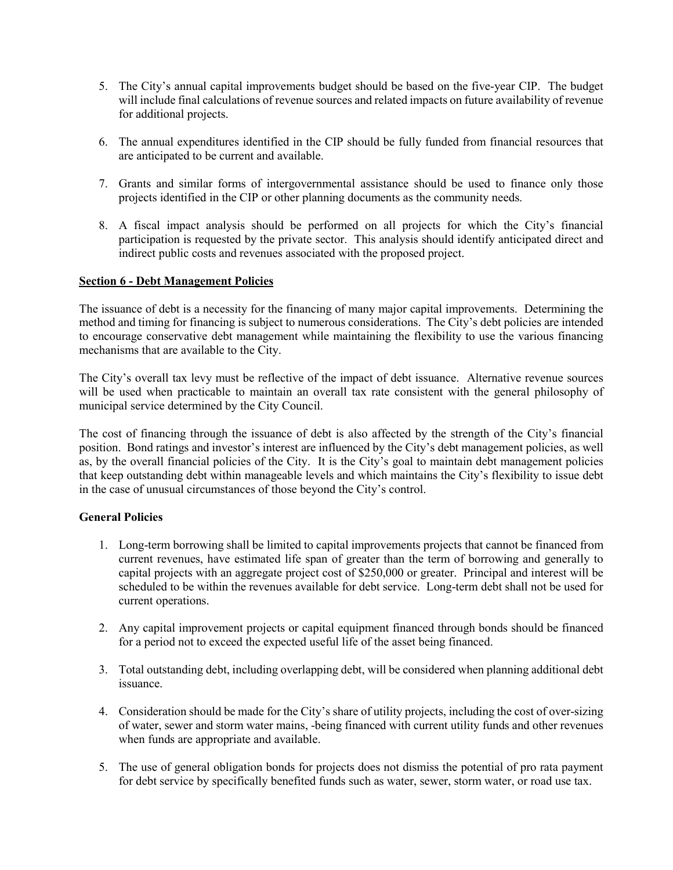- 5. The City's annual capital improvements budget should be based on the five-year CIP. The budget will include final calculations of revenue sources and related impacts on future availability of revenue for additional projects.
- 6. The annual expenditures identified in the CIP should be fully funded from financial resources that are anticipated to be current and available.
- 7. Grants and similar forms of intergovernmental assistance should be used to finance only those projects identified in the CIP or other planning documents as the community needs.
- 8. A fiscal impact analysis should be performed on all projects for which the City's financial participation is requested by the private sector. This analysis should identify anticipated direct and indirect public costs and revenues associated with the proposed project.

#### **Section 6 - Debt Management Policies**

The issuance of debt is a necessity for the financing of many major capital improvements. Determining the method and timing for financing is subject to numerous considerations. The City's debt policies are intended to encourage conservative debt management while maintaining the flexibility to use the various financing mechanisms that are available to the City.

The City's overall tax levy must be reflective of the impact of debt issuance. Alternative revenue sources will be used when practicable to maintain an overall tax rate consistent with the general philosophy of municipal service determined by the City Council.

The cost of financing through the issuance of debt is also affected by the strength of the City's financial position. Bond ratings and investor's interest are influenced by the City's debt management policies, as well as, by the overall financial policies of the City. It is the City's goal to maintain debt management policies that keep outstanding debt within manageable levels and which maintains the City's flexibility to issue debt in the case of unusual circumstances of those beyond the City's control.

#### **General Policies**

- 1. Long-term borrowing shall be limited to capital improvements projects that cannot be financed from current revenues, have estimated life span of greater than the term of borrowing and generally to capital projects with an aggregate project cost of \$250,000 or greater. Principal and interest will be scheduled to be within the revenues available for debt service. Long-term debt shall not be used for current operations.
- 2. Any capital improvement projects or capital equipment financed through bonds should be financed for a period not to exceed the expected useful life of the asset being financed.
- 3. Total outstanding debt, including overlapping debt, will be considered when planning additional debt issuance.
- 4. Consideration should be made for the City's share of utility projects, including the cost of over-sizing of water, sewer and storm water mains, -being financed with current utility funds and other revenues when funds are appropriate and available.
- 5. The use of general obligation bonds for projects does not dismiss the potential of pro rata payment for debt service by specifically benefited funds such as water, sewer, storm water, or road use tax.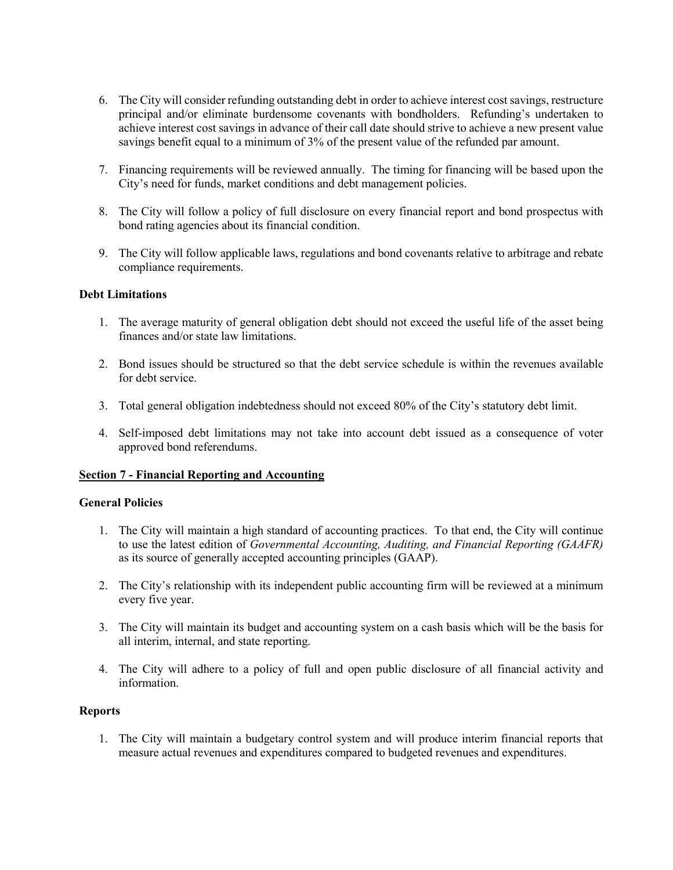- 6. The City will consider refunding outstanding debt in order to achieve interest cost savings, restructure principal and/or eliminate burdensome covenants with bondholders. Refunding's undertaken to achieve interest cost savings in advance of their call date should strive to achieve a new present value savings benefit equal to a minimum of 3% of the present value of the refunded par amount.
- 7. Financing requirements will be reviewed annually. The timing for financing will be based upon the City's need for funds, market conditions and debt management policies.
- 8. The City will follow a policy of full disclosure on every financial report and bond prospectus with bond rating agencies about its financial condition.
- 9. The City will follow applicable laws, regulations and bond covenants relative to arbitrage and rebate compliance requirements.

#### **Debt Limitations**

- 1. The average maturity of general obligation debt should not exceed the useful life of the asset being finances and/or state law limitations.
- 2. Bond issues should be structured so that the debt service schedule is within the revenues available for debt service.
- 3. Total general obligation indebtedness should not exceed 80% of the City's statutory debt limit.
- 4. Self-imposed debt limitations may not take into account debt issued as a consequence of voter approved bond referendums.

#### **Section 7 - Financial Reporting and Accounting**

#### **General Policies**

- 1. The City will maintain a high standard of accounting practices. To that end, the City will continue to use the latest edition of *Governmental Accounting, Auditing, and Financial Reporting (GAAFR)* as its source of generally accepted accounting principles (GAAP).
- 2. The City's relationship with its independent public accounting firm will be reviewed at a minimum every five year.
- 3. The City will maintain its budget and accounting system on a cash basis which will be the basis for all interim, internal, and state reporting.
- 4. The City will adhere to a policy of full and open public disclosure of all financial activity and information.

### **Reports**

1. The City will maintain a budgetary control system and will produce interim financial reports that measure actual revenues and expenditures compared to budgeted revenues and expenditures.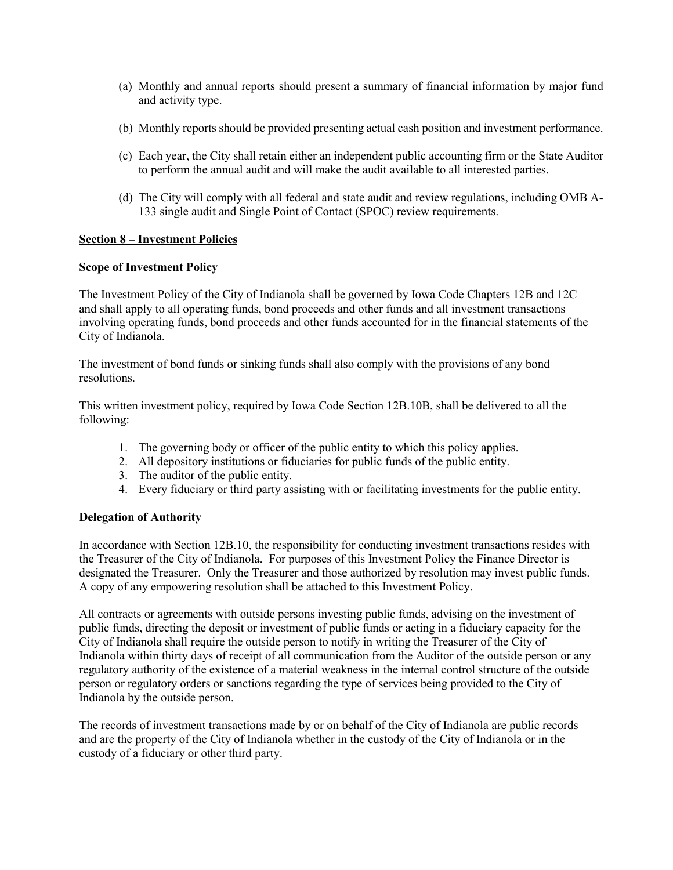- (a) Monthly and annual reports should present a summary of financial information by major fund and activity type.
- (b) Monthly reports should be provided presenting actual cash position and investment performance.
- (c) Each year, the City shall retain either an independent public accounting firm or the State Auditor to perform the annual audit and will make the audit available to all interested parties.
- (d) The City will comply with all federal and state audit and review regulations, including OMB A-133 single audit and Single Point of Contact (SPOC) review requirements.

## **Section 8 – Investment Policies**

#### **Scope of Investment Policy**

The Investment Policy of the City of Indianola shall be governed by Iowa Code Chapters 12B and 12C and shall apply to all operating funds, bond proceeds and other funds and all investment transactions involving operating funds, bond proceeds and other funds accounted for in the financial statements of the City of Indianola.

The investment of bond funds or sinking funds shall also comply with the provisions of any bond resolutions.

This written investment policy, required by Iowa Code Section 12B.10B, shall be delivered to all the following:

- 1. The governing body or officer of the public entity to which this policy applies.
- 2. All depository institutions or fiduciaries for public funds of the public entity.
- 3. The auditor of the public entity.
- 4. Every fiduciary or third party assisting with or facilitating investments for the public entity.

#### **Delegation of Authority**

In accordance with Section 12B.10, the responsibility for conducting investment transactions resides with the Treasurer of the City of Indianola. For purposes of this Investment Policy the Finance Director is designated the Treasurer. Only the Treasurer and those authorized by resolution may invest public funds. A copy of any empowering resolution shall be attached to this Investment Policy.

All contracts or agreements with outside persons investing public funds, advising on the investment of public funds, directing the deposit or investment of public funds or acting in a fiduciary capacity for the City of Indianola shall require the outside person to notify in writing the Treasurer of the City of Indianola within thirty days of receipt of all communication from the Auditor of the outside person or any regulatory authority of the existence of a material weakness in the internal control structure of the outside person or regulatory orders or sanctions regarding the type of services being provided to the City of Indianola by the outside person.

The records of investment transactions made by or on behalf of the City of Indianola are public records and are the property of the City of Indianola whether in the custody of the City of Indianola or in the custody of a fiduciary or other third party.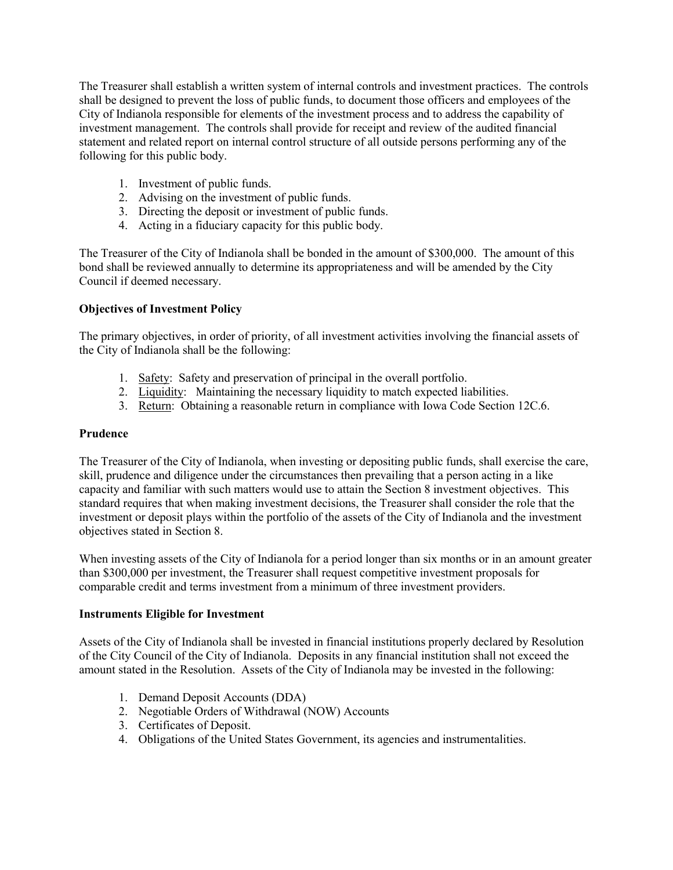The Treasurer shall establish a written system of internal controls and investment practices. The controls shall be designed to prevent the loss of public funds, to document those officers and employees of the City of Indianola responsible for elements of the investment process and to address the capability of investment management. The controls shall provide for receipt and review of the audited financial statement and related report on internal control structure of all outside persons performing any of the following for this public body.

- 1. Investment of public funds.
- 2. Advising on the investment of public funds.
- 3. Directing the deposit or investment of public funds.
- 4. Acting in a fiduciary capacity for this public body.

The Treasurer of the City of Indianola shall be bonded in the amount of \$300,000. The amount of this bond shall be reviewed annually to determine its appropriateness and will be amended by the City Council if deemed necessary.

## **Objectives of Investment Policy**

The primary objectives, in order of priority, of all investment activities involving the financial assets of the City of Indianola shall be the following:

- 1. Safety: Safety and preservation of principal in the overall portfolio.
- 2. Liquidity: Maintaining the necessary liquidity to match expected liabilities.
- 3. Return: Obtaining a reasonable return in compliance with Iowa Code Section 12C.6.

#### **Prudence**

The Treasurer of the City of Indianola, when investing or depositing public funds, shall exercise the care, skill, prudence and diligence under the circumstances then prevailing that a person acting in a like capacity and familiar with such matters would use to attain the Section 8 investment objectives. This standard requires that when making investment decisions, the Treasurer shall consider the role that the investment or deposit plays within the portfolio of the assets of the City of Indianola and the investment objectives stated in Section 8.

When investing assets of the City of Indianola for a period longer than six months or in an amount greater than \$300,000 per investment, the Treasurer shall request competitive investment proposals for comparable credit and terms investment from a minimum of three investment providers.

#### **Instruments Eligible for Investment**

Assets of the City of Indianola shall be invested in financial institutions properly declared by Resolution of the City Council of the City of Indianola. Deposits in any financial institution shall not exceed the amount stated in the Resolution. Assets of the City of Indianola may be invested in the following:

- 1. Demand Deposit Accounts (DDA)
- 2. Negotiable Orders of Withdrawal (NOW) Accounts
- 3. Certificates of Deposit.
- 4. Obligations of the United States Government, its agencies and instrumentalities.